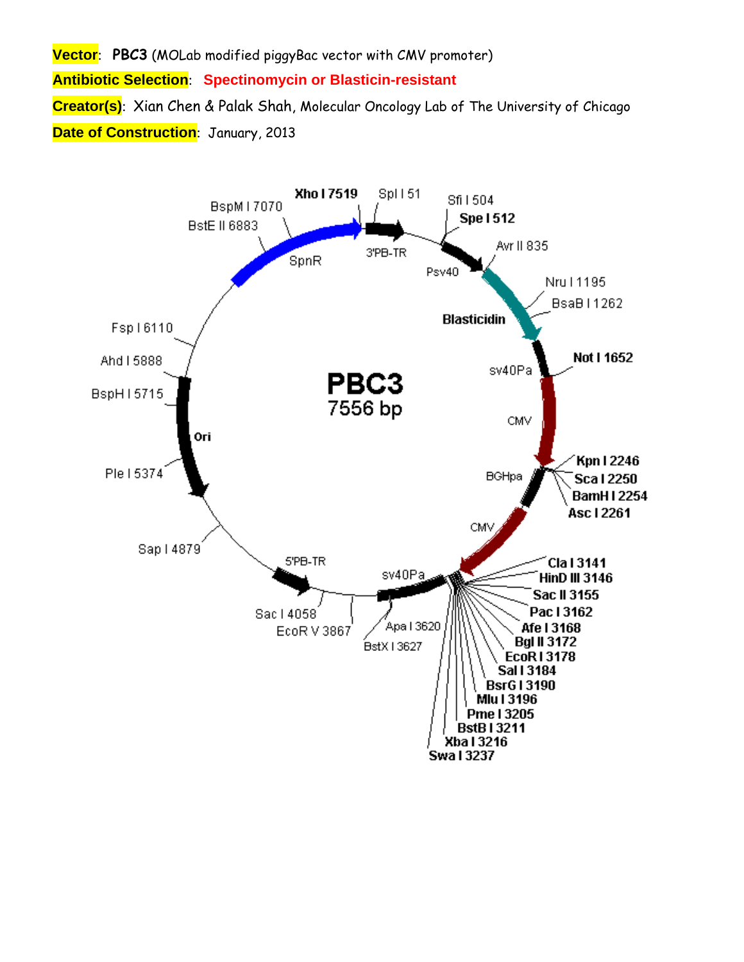**Vector**: **PBC3** (MOLab modified piggyBac vector with CMV promoter) **Antibiotic Selection**: **Spectinomycin or Blasticin-resistant Creator(s)**: Xian Chen & Palak Shah, Molecular Oncology Lab of The University of Chicago **Date of Construction**: January, 2013

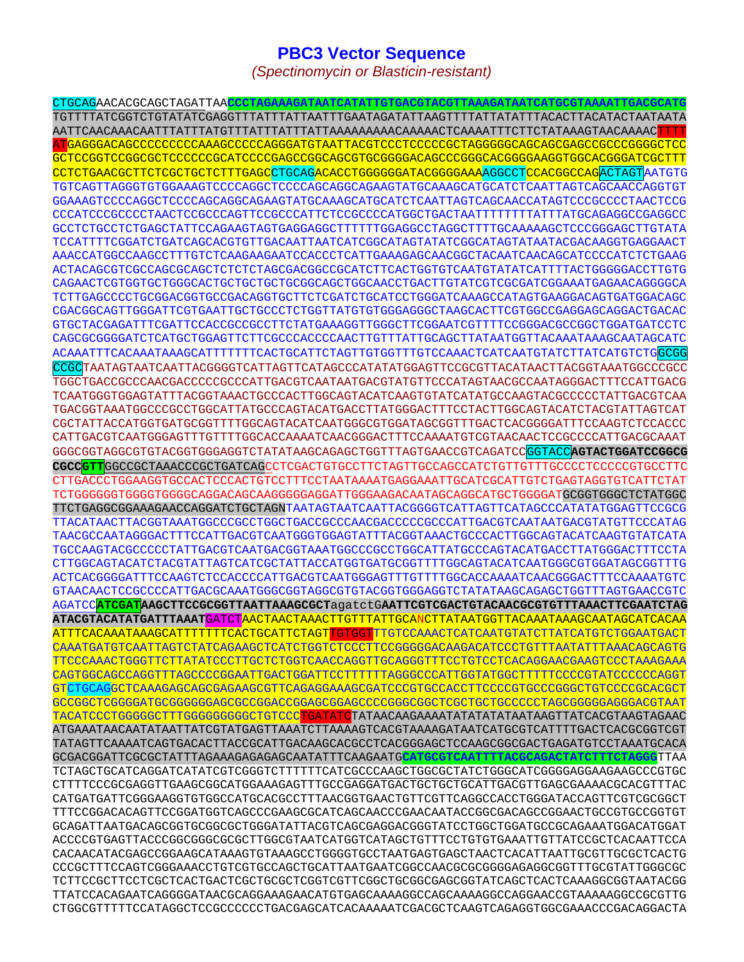## **PBC3 Vector Sequence**

*(Spectinomycin or Blasticin-resistant)* 

CTGCAGAACACGCAGCTAGATTAA**CCCTAGAAAGATAATCATATTGTGACGTACGTTAAAGATAATCATGCGTAAAATTGACGCATG** TGTTTTATCGGTCTGTATATCGAGGTTTATTTATTAATTTGAATAGATATTAAGTTTTATTATATTTACACTTACATACTAATAATA AATTCAACAAACAATTTATTTATGTTTATTTATTTATTAAAAAAAAACAAAAACTCAAAATTTCTTCTATAAAGTAACAAAACTTTT ATGAGGGACAGCCCCCCCCCAAAGCCCCCAGGGATGTAATTACGTCCCTCCCCCGCTAGGGGGCAGCAGCGAGCCGCCCGGGGCTCC GCTCCGGTCCGGCGCTCCCCCCGCATCCCCGAGCCGGCAGCGTGCGGGGACAGCCCGGGCACGGGGAAGGTGGCACGGGATCGCTTT CCTCTGAACGCTTCTCGCTGCTCTTTGAGCCTGCAGACACCTGGGGGGATACGGGGAAAAGGCCTCCACGGCCAGACTAGTAATGTG TGTCAGTTAGGGTGTGGAAAGTCCCCAGGCTCCCCAGCAGGCAGAAGTATGCAAAGCATGCATCTCAATTAGTCAGCAACCAGGTGT GGAAAGTCCCCAGGCTCCCCAGCAGGCAGAAGTATGCAAAGCATGCATCTCAATTAGTCAGCAACCATAGTCCCGCCCCTAACTCCG CCCATCCCGCCCCTAACTCCGCCCAGTTCCGCCCATTCTCCGCCCCATGGCTGACTAATTTTTTTTATTTATGCAGAGGCCGAGGCC GCCTCTGCCTCTGAGCTATTCCAGAAGTAGTGAGGAGGCTTTTTTGGAGGCCTAGGCTTTTGCAAAAAGCTCCCGGGAGCTTGTATA TCCATTTTCGGATCTGATCAGCACGTGTTGACAATTAATCATCGGCATAGTATATCGGCATAGTATAATACGACAAGGTGAGGAACT AAACCATGGCCAAGCCTTTGTCTCAAGAAGAATCCACCCTCATTGAAAGAGCAACGGCTACAATCAACAGCATCCCCATCTCTGAAG ACTACAGCGTCGCCAGCGCAGCTCTCTCTAGCGACGGCCGCATCTTCACTGGTGTCAATGTATATCATTTTACTGGGGGACCTTGTG CAGAACTCGTGGTGCTGGGCACTGCTGCTGCTGCGGCAGCTGGCAACCTGACTTGTATCGTCGCGATCGGAAATGAGAACAGGGGCA TCTTGAGCCCCTGCGGACGGTGCCGACAGGTGCTTCTCGATCTGCATCCTGGGATCAAAGCCATAGTGAAGGACAGTGATGGACAGC CGACGGCAGTTGGGATTCGTGAATTGCTGCCCTCTGGTTATGTGTGGGAGGGCTAAGCACTTCGTGGCCGAGGAGCAGGACTGACAC GTGCTACGAGATTTCGATTCCACCGCCGCCTTCTATGAAAGGTTGGGCTTCGGAATCGTTTTCCGGGACGCCGGCTGGATGATCCTC CAGCGCGGGGATCTCATGCTGGAGTTCTTCGCCCACCCCAACTTGTTTATTGCAGCTTATAATGGTTACAAATAAAGCAATAGCATC ACAAATTTCACAAATAAAGCATTTTTTTCACTGCATTCTAGTTGTGGTTTGTCCAAACTCATCAATGTATCTTATCATGTCTGGCGG CCGCTAATAGTAATCAATTACGGGGTCATTAGTTCATAGCCCATATATGGAGTTCCGCGTTACATAACTTACGGTAAATGGCCCGCC TGGCTGACCGCCCAACGACCCCCGCCCATTGACGTCAATAATGACGTATGTTCCCATAGTAACGCCAATAGGGACTTTCCATTGACG TCAATGGGTGGAGTATTTACGGTAAACTGCCCACTTGGCAGTACATCAAGTGTATCATATGCCAAGTACGCCCCCTATTGACGTCAA TGACGGTAAATGGCCCGCCTGGCATTATGCCCAGTACATGACCTTATGGGACTTTCCTACTTGGCAGTACATCTACGTATTAGTCAT CGCTATTACCATGGTGATGCGGTTTTGGCAGTACATCAATGGGCGTGGATAGCGGTTTGACTCACGGGGATTTCCAAGTCTCCACCC CATTGACGTCAATGGGAGTTTGTTTTGGCACCAAAATCAACGGGACTTTCCAAAATGTCGTAACAACTCCGCCCCATTGACGCAAAT GGGCGGTAGGCGTGTACGGTGGGAGGTCTATATAAGCAGAGCTGGTTTAGTGAACCGTCAGATCCGGTACC**AGTACTGGATCCGGCG CGCCGTT**GGCCGCTAAACCCGCTGATCAGCCTCGACTGTGCCTTCTAGTTGCCAGCCATCTGTTGTTTGCCCCTCCCCCGTGCCTTC CTTGACCCTGGAAGGTGCCACTCCCACTGTCCTTTCCTAATAAAATGAGGAAATTGCATCGCATTGTCTGAGTAGGTGTCATTCTAT TCTGGGGGGTGGGGTGGGGCAGGACAGCAAGGGGGAGGATTGGGAAGACAATAGCAGGCATGCTGGGGATGCGGTGGGCTCTATGGC TTCTGAGGCGGAAAGAACCAGGATCTGCTAGNTAATAGTAATCAATTACGGGGTCATTAGTTCATAGCCCATATATGGAGTTCCGCG TTACATAACTTACGGTAAATGGCCCGCCTGGCTGACCGCCCAACGACCCCCGCCCATTGACGTCAATAATGACGTATGTTCCCATAG TAACGCCAATAGGGACTTTCCATTGACGTCAATGGGTGGAGTATTTACGGTAAACTGCCCACTTGGCAGTACATCAAGTGTATCATA TGCCAAGTACGCCCCCTATTGACGTCAATGACGGTAAATGGCCCGCCTGGCATTATGCCCAGTACATGACCTTATGGGACTTTCCTA CTTGGCAGTACATCTACGTATTAGTCATCGCTATTACCATGGTGATGCGGTTTTGGCAGTACATCAATGGGCGTGGATAGCGGTTTG ACTCACGGGGATTTCCAAGTCTCCACCCCATTGACGTCAATGGGAGTTTGTTTTGGCACCAAAATCAACGGGACTTTCCAAAATGTC GTAACAACTCCGCCCCATTGACGCAAATGGGCGGTAGGCGTGTACGGTGGGAGGTCTATATAAGCAGAGCTGGTTTAGTGAACCGTC AGATCC**ATCGATAAGCTTCCGCGGTTAATTAAAGCGCT**agatctG**AATTCGTCGACTGTACAACGCGTGTTTAAACTTCGAATCTAG ATACGTACATATGATTTAAAT**GATCTAACTAACTAAACTTGTTTATTGCANCTTATAATGGTTACAAATAAAGCAATAGCATCACAA <mark>ATTTCACAAATAAAGCATTTTTTTCACTGCATTCTAGT</mark>TGTGGT<mark>TTGTCCAAACTCATCAATGTATCTTATCATGTCTGGAATGACT</mark> CAAATGATGTCAATTAGTCTATCAGAAGCTCATCTGGTCTCCCTTCCGGGGGACAAGACATCCCTGTTTAATATTTAAACAGCAGTG TTCCCAAACTGGGTTCTTATATCCCTTGCTCTGGTCAACCAGGTTGCAGGGTTTCCTGTCCTCACAGGAACGAAGTCCCTAAAGAAA CAGTGGCAGCCAGGTTTAGCCCCGGAATTGACTGGATTCCTTTTTTAGGGCCCATTGGTATGGCTTTTTCCCCGTATCCCCCCAGGT GTCTGCAGGCTCAAAGAGCAGCGAGAAGCGTTCAGAGGAAAGCGATCCCGTGCCACCTTCCCCGTGCCCGGGCTGTCCCCGCACGCT GCCGGCTCGGGGATGCGGGGGGAGCGCCGGACCGGAGCGGAGCCCCGGGCGGCTCGCTGCTGCCCCCTAGCGGGGGAGGGACGTAAT TACATCCCTGGGGGCTTTGGGGGGGGGCTGTCCCTGATATCTATAACAAGAAAATATATATATAATAAGTTATCACGTAAGTAGAAC ATGAAATAACAATATAATTATCGTATGAGTTAAATCTTAAAAGTCACGTAAAAGATAATCATGCGTCATTTTGACTCACGCGGTCGT TATAGTTCAAAATCAGTGACACTTACCGCATTGACAAGCACGCCTCACGGGAGCTCCAAGCGGCGACTGAGATGTCCTAAATGCACA GCGACGGATTCGCGCTATTTAGAAAGAGAGAGCAATATTTCAAGAATG**CATGCGTCAATTTTACGCAGACTATCTTTCTAGGG**TTAA TCTAGCTGCATCAGGATCATATCGTCGGGTCTTTTTTCATCGCCCAAGCTGGCGCTATCTGGGCATCGGGGAGGAAGAAGCCCGTGC CTTTTCCCGCGAGGTTGAAGCGGCATGGAAAGAGTTTGCCGAGGATGACTGCTGCTGCATTGACGTTGAGCGAAAACGCACGTTTAC CATGATGATTCGGGAAGGTGTGGCCATGCACGCCTTTAACGGTGAACTGTTCGTTCAGGCCACCTGGGATACCAGTTCGTCGCGGCT TTTCCGGACACAGTTCCGGATGGTCAGCCCGAAGCGCATCAGCAACCCGAACAATACCGGCGACAGCCGGAACTGCCGTGCCGGTGT GCAGATTAATGACAGCGGTGCGGCGCTGGGATATTACGTCAGCGAGGACGGGTATCCTGGCTGGATGCCGCAGAAATGGACATGGAT ACCCCGTGAGTTACCCGGCGGGCGCGCTTGGCGTAATCATGGTCATAGCTGTTTCCTGTGTGAAATTGTTATCCGCTCACAATTCCA CACAACATACGAGCCGGAAGCATAAAGTGTAAAGCCTGGGGTGCCTAATGAGTGAGCTAACTCACATTAATTGCGTTGCGCTCACTG CCCGCTTTCCAGTCGGGAAACCTGTCGTGCCAGCTGCATTAATGAATCGGCCAACGCGCGGGGAGAGGCGGTTTGCGTATTGGGCGC TCTTCCGCTTCCTCGCTCACTGACTCGCTGCGCTCGGTCGTTCGGCTGCGGCGAGCGGTATCAGCTCACTCAAAGGCGGTAATACGG TTATCCACAGAATCAGGGGATAACGCAGGAAAGAACATGTGAGCAAAAGGCCAGCAAAAGGCCAGGAACCGTAAAAAGGCCGCGTTG CTGGCGTTTTTCCATAGGCTCCGCCCCCCTGACGAGCATCACAAAAATCGACGCTCAAGTCAGAGGTGGCGAAACCCGACAGGACTA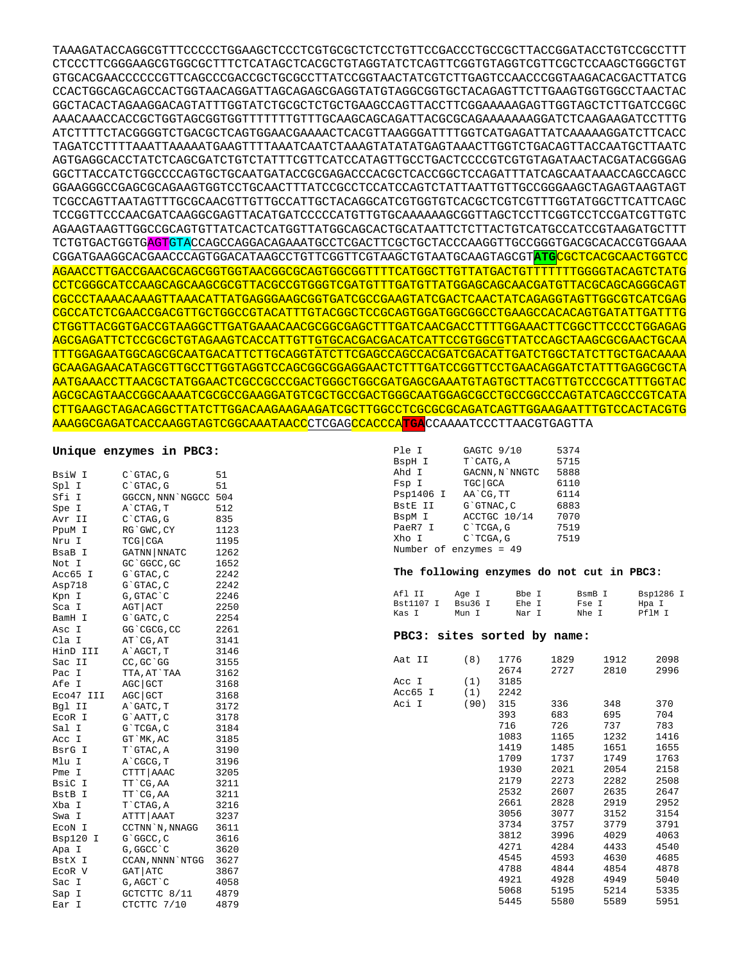TAAAGATACCAGGCGTTTCCCCCTGGAAGCTCCCTCGTGCGCTCTCCTGTTCCGACCCTGCCGCTTACCGGATACCTGTCCGCCTTT CTCCCTTCGGGAAGCGTGGCGCTTTCTCATAGCTCACGCTGTAGGTATCTCAGTTCGGTGTAGGTCGTTCGCTCCAAGCTGGGCTGT GTGCACGAACCCCCCGTTCAGCCCGACCGCTGCGCCTTATCCGGTAACTATCGTCTTGAGTCCAACCCGGTAAGACACGACTTATCG CCACTGGCAGCAGCCACTGGTAACAGGATTAGCAGAGCGAGGTATGTAGGCGGTGCTACAGAGTTCTTGAAGTGGTGGCCTAACTAC GGCTACACTAGAAGGACAGTATTTGGTATCTGCGCTCTGCTGAAGCCAGTTACCTTCGGAAAAAGAGTTGGTAGCTCTTGATCCGGC AAACAAACCACCGCTGGTAGCGGTGGTTTTTTTGTTTGCAAGCAGCAGATTACGCGCAGAAAAAAAGGATCTCAAGAAGATCCTTTG ATCTTTTCTACGGGGTCTGACGCTCAGTGGAACGAAAACTCACGTTAAGGGATTTTGGTCATGAGATTATCAAAAAGGATCTTCACC TAGATCCTTTTAAATTAAAAATGAAGTTTTAAATCAATCTAAAGTATATATGAGTAAACTTGGTCTGACAGTTACCAATGCTTAATC AGTGAGGCACCTATCTCAGCGATCTGTCTATTTCGTTCATCCATAGTTGCCTGACTCCCCGTCGTGTAGATAACTACGATACGGGAG GGCTTACCATCTGGCCCCAGTGCTGCAATGATACCGCGAGACCCACGCTCACCGGCTCCAGATTTATCAGCAATAAACCAGCCAGCC GGAAGGGCCGAGCGCAGAAGTGGTCCTGCAACTTTATCCGCCTCCATCCAGTCTATTAATTGTTGCCGGGAAGCTAGAGTAAGTAGT TCGCCAGTTAATAGTTTGCGCAACGTTGTTGCCATTGCTACAGGCATCGTGGTGTCACGCTCGTCGTTTGGTATGGCTTCATTCAGC TCCGGTTCCCAACGATCAAGGCGAGTTACATGATCCCCCATGTTGTGCAAAAAAGCGGTTAGCTCCTTCGGTCCTCCGATCGTTGTC AGAAGTAAGTTGGCCGCAGTGTTATCACTCATGGTTATGGCAGCACTGCATAATTCTCTTACTGTCATGCCATCCGTAAGATGCTTT TCTGTGACTGGTGAGTGTACCAGCCAGGACAGAAATGCCTCGACTTCGCTGCTACCCAAGGTTGCCGGGTGACGCACACCGTGGAAA CGGATGAAGGCACGAACCCAGTGGACATAAGCCTGTTCGGTTCGTAAGCTGTAATGCAAGTAGCGT**ATG**CGCTCACGCAACTGGTCC AGAACCTTGACCGAACGCAGCGGTGGTAACGGCGCAGTGGCGGTTTTCATGGCTTGTTATGACTGTTTTTTTGGGGTACAGTCTATG CCTCGGGCATCCAAGCAGCAAGCGCGTTACGCCGTGGGTCGATGTTTGATGTTATGGAGCAGCAACGATGTTACGCAGCAGGGCAGT CGCCCTAAAACAAAGTTAAACATTATGAGGGAAGCGGTGATCGCCGAAGTATCGACTCAACTATCAGAGGTAGTTGGCGTCATCGAG CGCCATCTCGAACCGACGTTGCTGGCCGTACATTTGTACGGCTCCGCAGTGGATGGCGGCCTGAAGCCACACAGTGATATTGATTTG CTGGTTACGGTGACCGTAAGGCTTGATGAAACAACGCGGCGAGCTTTGATCAACGACCTTTTGGAAACTTCGGCTTCCCCTGGAGAG AGCGAGATTCTCCGCGCTGTAGAAGTCACCATTGTTGTGCACGACGACATCATTCCGTGGCGTTATCCAGCTAAGCGCGAACTGCAA TTTGGAGAATGGCAGCGCAATGACATTCTTGCAGGTATCTTCGAGCCAGCCACGATCGACATTGATCTGGCTATCTTGCTGACAAAA GCAAGAGAACATAGCGTTGCCTTGGTAGGTCCAGCGGCGGAGGAACTCTTTGATCCGGTTCCTGAACAGGATCTATTTGAGGCGCTA AATGAAACCTTAACGCTATGGAACTCGCCGCCCGACTGGGCTGGCGATGAGCGAAATGTAGTGCTTACGTTGTCCCGCATTTGGTAC AGCGCAGTAACCGGCAAAATCGCGCCGAAGGATGTCGCTGCCGACTGGGCAATGGAGCGCCTGCCGGCCCAGTATCAGCCCGTCATA CTTGAAGCTAGACAGGCTTATCTTGGACAAGAAGAAGATCGCTTGGCCTCGCGCGCAGATCAGTTGGAAGAATTTGTCCACTACGTG AAAGGCGAGATCACCAAGGTAGTCGGCAAATAACCCTCGAGCCACCCA**TGA**CCAAAATCCCTTAACGTGAGTTA

## **Unique enzymes in PBC3:**

| BsiW I      | C`GTAC, G        | 51   |
|-------------|------------------|------|
| Spl I       | C`GTAC, G        | 51   |
| Sfi I       | GGCCN, NNN`NGGCC | 504  |
| Spe I       | A`CTAG, T        | 512  |
| Avr II      | C`CTAG, G        | 835  |
| PpuM I      | RG`GWC, CY       | 1123 |
| Nru I       | $TCG$ $CGA$      | 1195 |
| BsaB I      | GATNN NNATC      | 1262 |
| Not I       | GC `GGCC, GC     | 1652 |
| Acc65 I     | G`GTAC, C        | 2242 |
| Asp718      | G`GTAC, C        | 2242 |
| Kpn I       | G, GTAC`C        | 2246 |
| Sca I       | AGT   ACT        | 2250 |
| BamH I      | G`GATC, C        | 2254 |
| Asc I       | GG`CGCG, CC      | 2261 |
| Cla I       | AT CG, AT        | 3141 |
| HinD III    | A`AGCT, T        | 3146 |
| Sac II      | CC, GC `GG       | 3155 |
| Pac I       | TTA, AT`TAA      | 3162 |
| Afe I       | AGC GCT          | 3168 |
| Eco47 III   | $AGC$ GCT        | 3168 |
| Bql II      | A`GATC, T        | 3172 |
| EcoR I      | G`AATT, C        | 3178 |
| Sal I       | G`TCGA, C        | 3184 |
| Acc I       | GT `MK, AC       | 3185 |
| BsrG I      | T`GTAC, A        | 3190 |
| Mlu I       | A`CGCG, T        | 3196 |
| Pme I       | CTTT   AAAC      | 3205 |
| BsiC I      | TT `CG, AA       | 3211 |
| BstB I      | TT `CG, AA       | 3211 |
| Xba I       | T`CTAG, A        | 3216 |
| Swa I       | ATTT   AAAT      | 3237 |
| ECON I      | CCTNN `N, NNAGG  | 3611 |
| Bsp120<br>Ι | G`GGCC, C        | 3616 |
| Apa I       | G, GGCC `C       | 3620 |
| BstX I      | CCAN, NNNN `NTGG | 3627 |
| ECOR V      | GAT ATC          | 3867 |
| Sac I       | G, AGCT`C        | 4058 |
| Sap I       | GCTCTTC 8/11     | 4879 |
| Ear<br>Ι    | CTCTTC 7/10      | 4879 |

| Ple I     | GAGTC 9/10             | 5374 |
|-----------|------------------------|------|
| BspH I    | T CATG, A              | 5715 |
| Ahd I     | GACNN, N`NNGTC         | 5888 |
| Fsp I     | TGC GCA                | 6110 |
| Psp1406 I | AA`CG, TT              | 6114 |
| BstE II   | G`GTNAC.C              | 6883 |
| BspM I    | ACCTGC 10/14           | 7070 |
| PaeR7 I   | C`TCGA, G              | 7519 |
| Xho I     | C`TCGA, G              | 7519 |
|           | Number of enzymes = 49 |      |

## **The following enzymes do not cut in PBC3:**

| Afl IT    | Age I   | Bbe T | BsmB T | Bsp1286 I |
|-----------|---------|-------|--------|-----------|
| Bst1107 I | Bsu36 T | Ehe T | Fse I  | Hpa I     |
| Kas I     | Mun T   | Nar T | Nhe T  | Pf1M T    |

## **PBC3: sites sorted by name:**

| Aat II  | (8)  | 1776 | 1829 | 1912 | 2098 |
|---------|------|------|------|------|------|
|         |      | 2674 | 2727 | 2810 | 2996 |
| Acc I   | (1)  | 3185 |      |      |      |
| Acc65 I | (1)  | 2242 |      |      |      |
| Aci I   | (90) | 315  | 336  | 348  | 370  |
|         |      | 393  | 683  | 695  | 704  |
|         |      | 716  | 726  | 737  | 783  |
|         |      | 1083 | 1165 | 1232 | 1416 |
|         |      | 1419 | 1485 | 1651 | 1655 |
|         |      | 1709 | 1737 | 1749 | 1763 |
|         |      | 1930 | 2021 | 2054 | 2158 |
|         |      | 2179 | 2273 | 2282 | 2508 |
|         |      | 2532 | 2607 | 2635 | 2647 |
|         |      | 2661 | 2828 | 2919 | 2952 |
|         |      | 3056 | 3077 | 3152 | 3154 |
|         |      | 3734 | 3757 | 3779 | 3791 |
|         |      | 3812 | 3996 | 4029 | 4063 |
|         |      | 4271 | 4284 | 4433 | 4540 |
|         |      | 4545 | 4593 | 4630 | 4685 |
|         |      | 4788 | 4844 | 4854 | 4878 |
|         |      | 4921 | 4928 | 4949 | 5040 |
|         |      | 5068 | 5195 | 5214 | 5335 |
|         |      | 5445 | 5580 | 5589 | 5951 |
|         |      |      |      |      |      |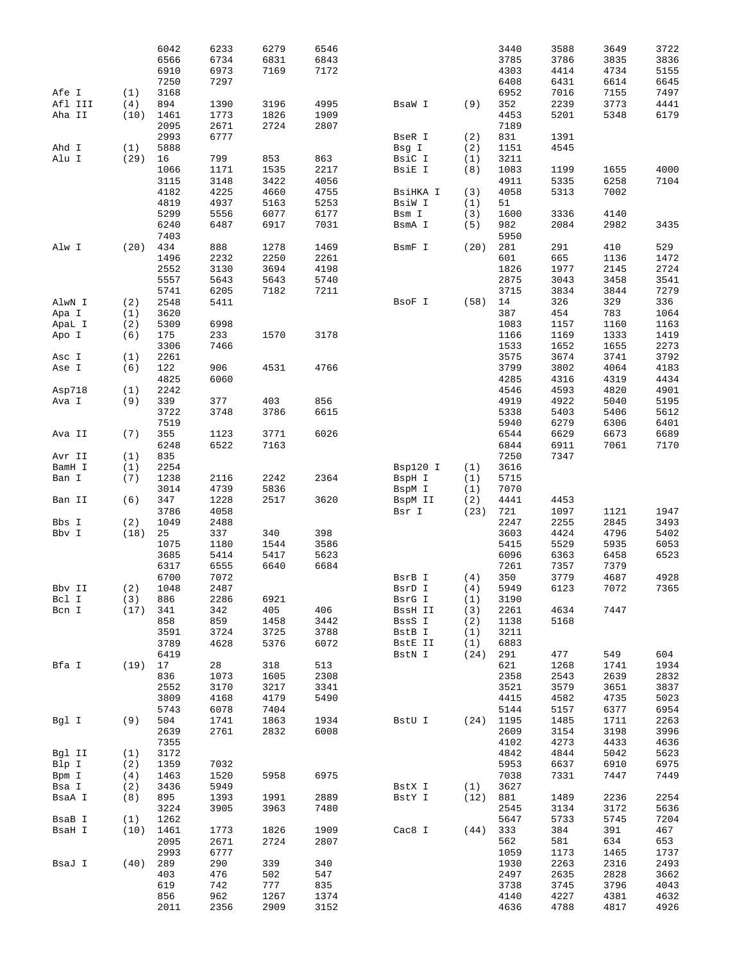|         |      | 6042 | 6233 | 6279 | 6546 |          |      | 3440 | 3588 | 3649 | 3722 |
|---------|------|------|------|------|------|----------|------|------|------|------|------|
|         |      | 6566 | 6734 | 6831 | 6843 |          |      | 3785 | 3786 | 3835 | 3836 |
|         |      | 6910 | 6973 | 7169 | 7172 |          |      | 4303 | 4414 | 4734 | 5155 |
|         |      | 7250 | 7297 |      |      |          |      | 6408 | 6431 | 6614 | 6645 |
| Afe I   | (1)  | 3168 |      |      |      |          |      | 6952 | 7016 | 7155 | 7497 |
| Afl III | (4)  | 894  | 1390 | 3196 | 4995 | BsaW I   | (9)  | 352  | 2239 | 3773 | 4441 |
| Aha II  | (10) | 1461 | 1773 | 1826 | 1909 |          |      | 4453 | 5201 | 5348 | 6179 |
|         |      | 2095 | 2671 | 2724 | 2807 |          |      | 7189 |      |      |      |
|         |      | 2993 | 6777 |      |      | BseR I   | (2)  | 831  | 1391 |      |      |
| Ahd I   | (1)  | 5888 |      |      |      | Bsg I    | (2)  | 1151 | 4545 |      |      |
| Alu I   | (29) | 16   | 799  | 853  | 863  | BsiC I   | (1)  | 3211 |      |      |      |
|         |      | 1066 | 1171 | 1535 | 2217 | BsiE I   | (8)  | 1083 | 1199 | 1655 | 4000 |
|         |      | 3115 | 3148 | 3422 | 4056 |          |      | 4911 | 5335 | 6258 | 7104 |
|         |      | 4182 | 4225 | 4660 | 4755 | BsiHKA I | (3)  | 4058 | 5313 | 7002 |      |
|         |      | 4819 | 4937 | 5163 | 5253 | BsiW I   | (1)  | 51   |      |      |      |
|         |      | 5299 | 5556 | 6077 | 6177 | Bsm I    | (3)  | 1600 | 3336 | 4140 |      |
|         |      | 6240 | 6487 | 6917 | 7031 | BsmA I   | (5)  | 982  | 2084 | 2982 | 3435 |
|         |      | 7403 |      |      |      |          |      | 5950 |      |      |      |
| Alw I   | (20) | 434  | 888  | 1278 | 1469 | BsmF I   | (20) | 281  | 291  | 410  | 529  |
|         |      | 1496 | 2232 | 2250 | 2261 |          |      | 601  | 665  | 1136 | 1472 |
|         |      | 2552 | 3130 | 3694 | 4198 |          |      | 1826 | 1977 | 2145 | 2724 |
|         |      | 5557 | 5643 | 5643 | 5740 |          |      | 2875 | 3043 | 3458 | 3541 |
|         |      | 5741 | 6205 | 7182 | 7211 |          |      | 3715 | 3834 | 3844 | 7279 |
| AlwN I  | (2)  | 2548 | 5411 |      |      | BsoF I   | (58) | 14   | 326  | 329  | 336  |
| Apa I   | (1)  | 3620 |      |      |      |          |      | 387  | 454  | 783  | 1064 |
| ApaL I  | (2)  | 5309 | 6998 |      |      |          |      | 1083 | 1157 | 1160 | 1163 |
| Apo I   | (6)  | 175  | 233  | 1570 | 3178 |          |      | 1166 | 1169 | 1333 | 1419 |
|         |      | 3306 | 7466 |      |      |          |      | 1533 | 1652 | 1655 | 2273 |
| Asc I   | (1)  | 2261 |      |      |      |          |      | 3575 | 3674 | 3741 | 3792 |
| Ase I   | (6)  | 122  | 906  | 4531 | 4766 |          |      | 3799 | 3802 | 4064 | 4183 |
|         |      | 4825 | 6060 |      |      |          |      | 4285 | 4316 | 4319 | 4434 |
| Asp718  | (1)  | 2242 |      |      |      |          |      | 4546 | 4593 | 4820 | 4901 |
| Ava I   | (9)  | 339  | 377  | 403  | 856  |          |      | 4919 | 4922 | 5040 | 5195 |
|         |      | 3722 | 3748 | 3786 | 6615 |          |      | 5338 | 5403 | 5406 | 5612 |
|         |      | 7519 |      |      |      |          |      | 5940 | 6279 | 6306 | 6401 |
| Ava II  | (7)  | 355  | 1123 | 3771 | 6026 |          |      | 6544 | 6629 | 6673 | 6689 |
|         |      | 6248 | 6522 | 7163 |      |          |      | 6844 | 6911 | 7061 | 7170 |
| Avr II  | (1)  | 835  |      |      |      |          |      | 7250 | 7347 |      |      |
| BamH I  | (1)  | 2254 |      |      |      | Bsp120 I | (1)  | 3616 |      |      |      |
| Ban I   | (7)  | 1238 | 2116 | 2242 | 2364 | BspH I   | (1)  | 5715 |      |      |      |
|         |      | 3014 | 4739 | 5836 |      | BspM I   | (1)  | 7070 |      |      |      |
| Ban II  | (6)  | 347  | 1228 | 2517 | 3620 | BspM II  | (2)  | 4441 | 4453 |      |      |
|         |      | 3786 | 4058 |      |      | Bsr I    | (23) | 721  | 1097 | 1121 | 1947 |
| Bbs I   | (2)  | 1049 | 2488 |      |      |          |      | 2247 | 2255 | 2845 | 3493 |
| Bbv I   | (18) | 25   | 337  | 340  | 398  |          |      | 3603 | 4424 | 4796 | 5402 |
|         |      | 1075 | 1180 | 1544 | 3586 |          |      | 5415 | 5529 | 5935 | 6053 |
|         |      | 3685 | 5414 | 5417 | 5623 |          |      | 6096 | 6363 | 6458 | 6523 |
|         |      | 6317 | 6555 | 6640 | 6684 |          |      | 7261 | 7357 | 7379 |      |
|         |      | 6700 | 7072 |      |      | BsrB I   | (4)  | 350  | 3779 | 4687 | 4928 |
| Bbv II  | (2)  | 1048 | 2487 |      |      | BsrD I   | (4)  | 5949 | 6123 | 7072 | 7365 |
| Bcl I   | (3)  | 886  | 2286 | 6921 |      | BsrG I   | (1)  | 3190 |      |      |      |
| Bcn I   | (17) | 341  | 342  | 405  | 406  | BssH II  | (3)  | 2261 | 4634 | 7447 |      |
|         |      | 858  | 859  | 1458 | 3442 | BssS I   | (2)  | 1138 | 5168 |      |      |
|         |      | 3591 | 3724 | 3725 | 3788 | BstB I   | (1)  | 3211 |      |      |      |
|         |      | 3789 | 4628 | 5376 | 6072 | BstE II  | (1)  | 6883 |      |      |      |
|         |      | 6419 |      |      |      | BstN I   | (24) | 291  | 477  | 549  | 604  |
| Bfa I   | (19) | 17   | 28   | 318  | 513  |          |      | 621  | 1268 | 1741 | 1934 |
|         |      | 836  | 1073 | 1605 | 2308 |          |      | 2358 | 2543 | 2639 | 2832 |
|         |      | 2552 | 3170 | 3217 | 3341 |          |      | 3521 | 3579 | 3651 | 3837 |
|         |      | 3809 | 4168 | 4179 | 5490 |          |      | 4415 | 4582 | 4735 | 5023 |
|         |      | 5743 | 6078 | 7404 |      |          |      | 5144 | 5157 | 6377 | 6954 |
| Bgl I   | (9)  | 504  | 1741 | 1863 | 1934 | BstU I   | (24) | 1195 | 1485 | 1711 | 2263 |
|         |      | 2639 | 2761 | 2832 | 6008 |          |      | 2609 | 3154 | 3198 | 3996 |
|         |      | 7355 |      |      |      |          |      | 4102 | 4273 | 4433 | 4636 |
| Bgl II  | (1)  | 3172 |      |      |      |          |      | 4842 | 4844 | 5042 | 5623 |
| Blp I   | (2)  | 1359 | 7032 |      |      |          |      | 5953 | 6637 | 6910 | 6975 |
| Bpm I   | (4)  | 1463 | 1520 | 5958 | 6975 |          |      | 7038 | 7331 | 7447 | 7449 |
| Bsa I   | (2)  | 3436 | 5949 |      |      | BstX I   | (1)  | 3627 |      |      |      |
| BsaA I  | (8)  | 895  | 1393 | 1991 | 2889 | BstY I   | (12) | 881  | 1489 | 2236 | 2254 |
|         |      | 3224 | 3905 | 3963 | 7480 |          |      | 2545 | 3134 | 3172 | 5636 |
| BsaB I  | (1)  | 1262 |      |      |      |          |      | 5647 | 5733 | 5745 | 7204 |
| BsaH I  | (10) | 1461 | 1773 | 1826 | 1909 | Cac8 I   | (44) | 333  | 384  | 391  | 467  |
|         |      | 2095 | 2671 | 2724 | 2807 |          |      | 562  | 581  | 634  | 653  |
|         |      | 2993 | 6777 |      |      |          |      | 1059 | 1173 | 1465 | 1737 |
| BsaJ I  | (40) | 289  | 290  | 339  | 340  |          |      | 1930 | 2263 | 2316 | 2493 |
|         |      | 403  | 476  | 502  | 547  |          |      | 2497 | 2635 | 2828 | 3662 |
|         |      | 619  | 742  | 777  | 835  |          |      | 3738 | 3745 | 3796 | 4043 |
|         |      | 856  | 962  | 1267 | 1374 |          |      | 4140 | 4227 | 4381 | 4632 |
|         |      | 2011 | 2356 | 2909 | 3152 |          |      | 4636 | 4788 | 4817 | 4926 |
|         |      |      |      |      |      |          |      |      |      |      |      |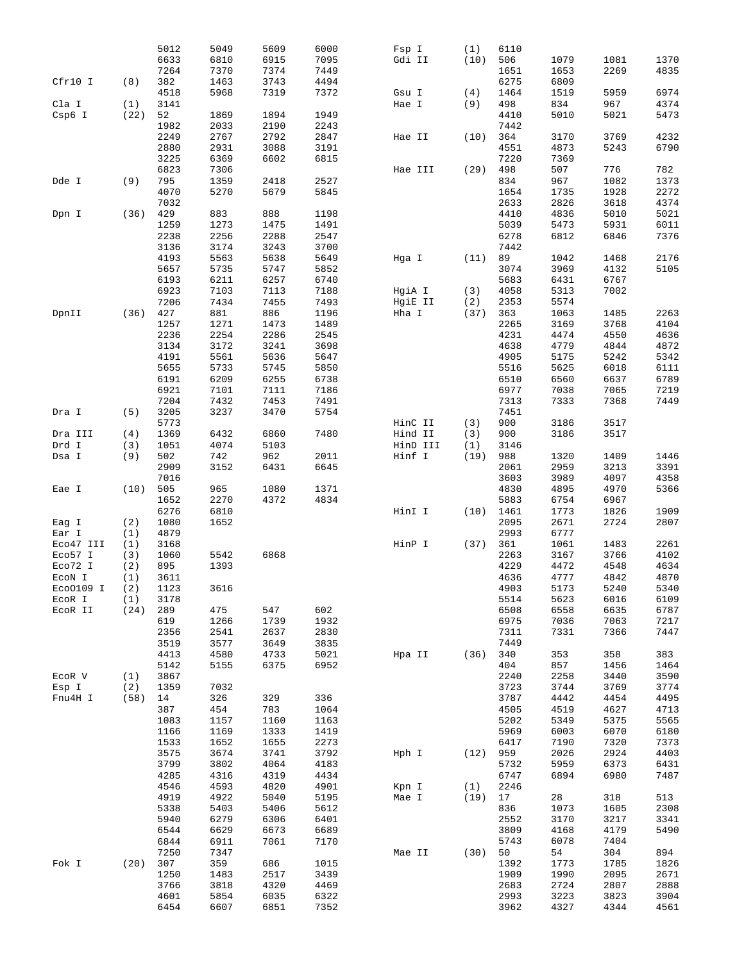|                  |            | 5012         | 5049         | 5609         | 6000         | Fsp I         | (1)       | 6110         |              |              |              |
|------------------|------------|--------------|--------------|--------------|--------------|---------------|-----------|--------------|--------------|--------------|--------------|
|                  |            | 6633         | 6810         | 6915         | 7095         | Gdi II        | (10)      | 506          | 1079         | 1081         | 1370         |
|                  |            | 7264         | 7370         | 7374         | 7449         |               |           | 1651         | 1653         | 2269         | 4835         |
| Cfr10 I          | (8)        | 382          | 1463         | 3743         | 4494         |               |           | 6275         | 6809         |              |              |
|                  |            | 4518         | 5968         | 7319         | 7372         | Gsu I         | (4)       | 1464         | 1519         | 5959         | 6974         |
|                  |            |              |              |              |              |               |           |              |              |              |              |
| Cla I            | (1)        | 3141         |              |              |              | Hae I         | (9)       | 498          | 834          | 967          | 4374         |
| Csp6 I           | (22)       | 52           | 1869         | 1894         | 1949         |               |           | 4410         | 5010         | 5021         | 5473         |
|                  |            | 1982         | 2033         | 2190         | 2243         |               |           | 7442         |              |              |              |
|                  |            | 2249         | 2767         | 2792         | 2847         | Hae II        | (10)      | 364          | 3170         | 3769         | 4232         |
|                  |            | 2880         | 2931         | 3088         | 3191         |               |           | 4551         | 4873         | 5243         | 6790         |
|                  |            | 3225         | 6369         | 6602         | 6815         |               |           | 7220         | 7369         |              |              |
|                  |            | 6823         | 7306         |              |              | Hae III       | (29)      | 498          | 507          | 776          | 782          |
| Dde I            | (9)        | 795          | 1359         | 2418         | 2527         |               |           | 834          | 967          | 1082         | 1373         |
|                  |            | 4070         | 5270         | 5679         | 5845         |               |           | 1654         | 1735         | 1928         | 2272         |
|                  |            | 7032         |              |              |              |               |           | 2633         | 2826         | 3618         | 4374         |
| Dpn I            | (36)       | 429          | 883          | 888          | 1198         |               |           | 4410         | 4836         | 5010         | 5021         |
|                  |            | 1259         | 1273         | 1475         | 1491         |               |           | 5039         | 5473         | 5931         | 6011         |
|                  |            | 2238         | 2256         | 2288         | 2547         |               |           | 6278         | 6812         | 6846         | 7376         |
|                  |            | 3136         | 3174         | 3243         | 3700         |               |           | 7442         |              |              |              |
|                  |            |              |              |              |              |               |           |              |              |              |              |
|                  |            | 4193         | 5563         | 5638         | 5649         | Hga I         | (11)      | 89           | 1042         | 1468         | 2176         |
|                  |            | 5657         | 5735         | 5747         | 5852         |               |           | 3074         | 3969         | 4132         | 5105         |
|                  |            | 6193         | 6211         | 6257         | 6740         |               |           | 5683         | 6431         | 6767         |              |
|                  |            | 6923         | 7103         | 7113         | 7188         | HgiA I        | (3)       | 4058         | 5313         | 7002         |              |
|                  |            | 7206         | 7434         | 7455         | 7493         | HgiE II       | (2)       | 2353         | 5574         |              |              |
| DpnII            | (36)       | 427          | 881          | 886          | 1196         | Hha I         | (37)      | 363          | 1063         | 1485         | 2263         |
|                  |            | 1257         | 1271         | 1473         | 1489         |               |           | 2265         | 3169         | 3768         | 4104         |
|                  |            | 2236         | 2254         | 2286         | 2545         |               |           | 4231         | 4474         | 4550         | 4636         |
|                  |            | 3134         | 3172         | 3241         | 3698         |               |           | 4638         | 4779         | 4844         | 4872         |
|                  |            | 4191         | 5561         | 5636         | 5647         |               |           | 4905         | 5175         | 5242         | 5342         |
|                  |            | 5655         | 5733         | 5745         | 5850         |               |           | 5516         | 5625         | 6018         | 6111         |
|                  |            | 6191         | 6209         | 6255         | 6738         |               |           | 6510         | 6560         | 6637         | 6789         |
|                  |            | 6921         |              |              | 7186         |               |           | 6977         | 7038         | 7065         | 7219         |
|                  |            |              | 7101         | 7111         |              |               |           |              |              |              |              |
|                  |            | 7204         | 7432         | 7453         | 7491         |               |           | 7313         | 7333         | 7368         | 7449         |
| Dra I            | (5)        | 3205         | 3237         | 3470         | 5754         |               |           | 7451         |              |              |              |
|                  |            | 5773         |              |              |              | HinC II       | (3)       | 900          | 3186         | 3517         |              |
| Dra III          | (4)        | 1369         | 6432         | 6860         | 7480         | Hind II       | (3)       | 900          | 3186         | 3517         |              |
| Drd I            | (3)        | 1051         | 4074         | 5103         |              | HinD III      | (1)       | 3146         |              |              |              |
| Dsa I            | (9)        | 502          | 742          | 962          | 2011         | Hinf I        | (19)      | 988          | 1320         | 1409         | 1446         |
|                  |            | 2909         | 3152         | 6431         | 6645         |               |           | 2061         | 2959         | 3213         | 3391         |
|                  |            | 7016         |              |              |              |               |           | 3603         | 3989         | 4097         | 4358         |
| Eae I            | (10)       | 505          | 965          | 1080         | 1371         |               |           | 4830         | 4895         | 4970         | 5366         |
|                  |            |              |              |              |              |               |           |              |              |              |              |
|                  |            |              |              |              |              |               |           |              |              |              |              |
|                  |            | 1652         | 2270         | 4372         | 4834         |               |           | 5883         | 6754         | 6967         |              |
|                  |            | 6276         | 6810         |              |              | HinI I        | (10)      | 1461         | 1773         | 1826         | 1909         |
| Eag I            | (2)        | 1080         | 1652         |              |              |               |           | 2095         | 2671         | 2724         | 2807         |
| Ear I            | (1)        | 4879         |              |              |              |               |           | 2993         | 6777         |              |              |
| Eco47 III        | (1)        | 3168         |              |              |              | HinP I        | (37)      | 361          | 1061         | 1483         | 2261         |
| Eco57 I          | (3)        | 1060         | 5542         | 6868         |              |               |           | 2263         | 3167         | 3766         | 4102         |
| Eco72 I          | (2)        | 895          | 1393         |              |              |               |           | 4229         | 4472         | 4548         | 4634         |
| ECON I           | (1)        | 3611         |              |              |              |               |           | 4636         | 4777         | 4842         | 4870         |
| $E$ co0109 I (2) |            | 1123         | 3616         |              |              |               |           | 4903         | 5173         | 5240         | 5340         |
| ECOR I           | (1)        | 3178         |              |              |              |               |           | 5514         | 5623         | 6016         | 6109         |
| ECOR II          | $(24)$ 289 |              | 475          | 547          | 602          |               |           | 6508         | 6558         | 6635         | 6787         |
|                  |            | 619          | 1266         | 1739         | 1932         |               |           | 6975         | 7036         | 7063         | 7217         |
|                  |            | 2356         | 2541         | 2637         | 2830         |               |           | 7311         | 7331         | 7366         | 7447         |
|                  |            | 3519         | 3577         | 3649         | 3835         |               |           | 7449         |              |              |              |
|                  |            | 4413         | 4580         | 4733         | 5021         | Hpa II $(36)$ |           | 340          | 353          | 358          | 383          |
|                  |            |              | 5155         |              | 6952         |               |           | 404          |              |              |              |
|                  |            | 5142         |              | 6375         |              |               |           |              | 857          | 1456         | 1464         |
| ECOR V           | (1)        | 3867         |              |              |              |               |           | 2240         | 2258         | 3440         | 3590         |
| Esp I            | (2)        | 1359         | 7032         |              |              |               |           | 3723         | 3744         | 3769         | 3774         |
| Fnu4H I          | $(58)$ 14  |              | 326          | 329          | 336          |               |           | 3787         | 4442         | 4454         | 4495         |
|                  |            | 387          | 454          | 783          | 1064         |               |           | 4505         | 4519         | 4627         | 4713         |
|                  |            | 1083         | 1157         | 1160         | 1163         |               |           | 5202         | 5349         | 5375         | 5565         |
|                  |            | 1166         | 1169         | 1333         | 1419         |               |           | 5969         | 6003         | 6070         | 6180         |
|                  |            | 1533         | 1652         | 1655         | 2273         |               |           | 6417         | 7190         | 7320         | 7373         |
|                  |            | 3575         | 3674         | 3741         | 3792         | Hph I $(12)$  |           | 959          | 2026         | 2924         | 4403         |
|                  |            | 3799         | 3802         | 4064         | 4183         |               |           | 5732         | 5959         | 6373         | 6431         |
|                  |            | 4285         | 4316         | 4319         | 4434         |               |           | 6747         | 6894         | 6980         | 7487         |
|                  |            | 4546         | 4593         | 4820         | 4901         | Kpn I         | (1)       | 2246         |              |              |              |
|                  |            | 4919         | 4922         | 5040         | 5195         | Mae I         | $(19)$ 17 |              | 28           | 318          | 513          |
|                  |            | 5338         | 5403         | 5406         | 5612         |               |           | 836          | 1073         | 1605         |              |
|                  |            |              |              |              |              |               |           |              |              |              | 2308         |
|                  |            | 5940         | 6279         | 6306         | 6401         |               |           | 2552         | 3170         | 3217         | 3341         |
|                  |            | 6544         | 6629         | 6673         | 6689         |               |           | 3809         | 4168         | 4179         | 5490         |
|                  |            | 6844         | 6911         | 7061         | 7170         |               |           | 5743         | 6078         | 7404         |              |
|                  |            | 7250         | 7347         |              |              | Mae II        | $(30)$ 50 |              | 54           | 304          | 894          |
| Fok I            | $(20)$ 307 |              | 359          | 686          | 1015         |               |           | 1392         | 1773         | 1785         | 1826         |
|                  |            | 1250         | 1483         | 2517         | 3439         |               |           | 1909         | 1990         | 2095         | 2671         |
|                  |            | 3766         | 3818         | 4320         | 4469         |               |           | 2683         | 2724         | 2807         | 2888         |
|                  |            | 4601<br>6454 | 5854<br>6607 | 6035<br>6851 | 6322<br>7352 |               |           | 2993<br>3962 | 3223<br>4327 | 3823<br>4344 | 3904<br>4561 |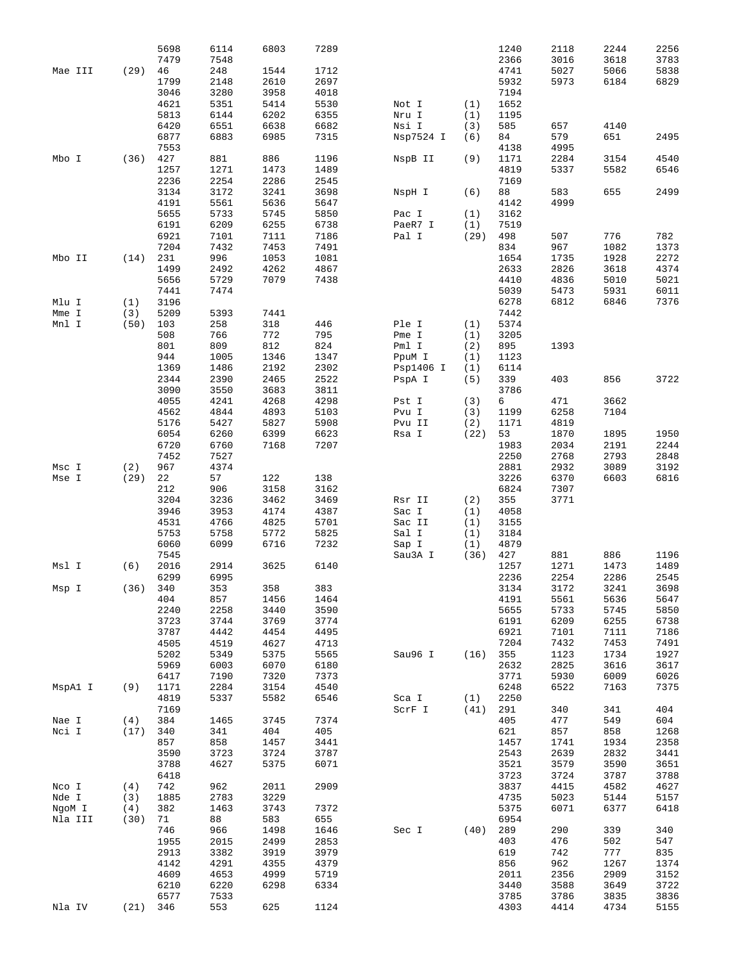|         |          | 5698<br>7479 | 6114<br>7548 | 6803 | 7289 |           |      | 1240<br>2366 | 2118<br>3016 | 2244<br>3618 | 2256<br>3783 |
|---------|----------|--------------|--------------|------|------|-----------|------|--------------|--------------|--------------|--------------|
| Mae III | (29)     | 46           | 248          | 1544 | 1712 |           |      | 4741         | 5027         | 5066         | 5838         |
|         |          | 1799         | 2148         | 2610 | 2697 |           |      | 5932         | 5973         | 6184         | 6829         |
|         |          | 3046         | 3280         | 3958 | 4018 |           |      | 7194         |              |              |              |
|         |          | 4621         | 5351         | 5414 | 5530 | Not I     | (1)  | 1652         |              |              |              |
|         |          | 5813         | 6144         | 6202 | 6355 | Nru I     | (1)  | 1195         |              |              |              |
|         |          | 6420         | 6551         | 6638 | 6682 | Nsi I     | (3)  | 585          | 657          | 4140         |              |
|         |          | 6877         | 6883         | 6985 | 7315 | Nsp7524 I | (6)  | 84           | 579          | 651          | 2495         |
|         |          | 7553         |              |      |      |           |      | 4138         | 4995         |              |              |
| Mbo I   | (36)     | 427          | 881          | 886  | 1196 | NspB II   | (9)  | 1171         | 2284         | 3154         | 4540         |
|         |          | 1257         | 1271         | 1473 | 1489 |           |      | 4819         | 5337         | 5582         | 6546         |
|         |          | 2236         | 2254         | 2286 | 2545 |           |      | 7169         |              |              |              |
|         |          | 3134         | 3172         | 3241 | 3698 | NspH I    | (6)  | 88           | 583          | 655          | 2499         |
|         |          | 4191         | 5561         | 5636 | 5647 |           |      | 4142         | 4999         |              |              |
|         |          | 5655         | 5733         | 5745 | 5850 | Pac I     | (1)  | 3162         |              |              |              |
|         |          | 6191         | 6209         | 6255 | 6738 | PaeR7 I   | (1)  | 7519         |              |              |              |
|         |          | 6921         | 7101         | 7111 | 7186 | Pal I     | (29) | 498          | 507          | 776          | 782          |
|         |          | 7204         | 7432         | 7453 | 7491 |           |      | 834          | 967          | 1082         | 1373         |
| Mbo II  | (14)     | 231          | 996          | 1053 | 1081 |           |      | 1654         | 1735         | 1928         | 2272         |
|         |          | 1499         | 2492         | 4262 | 4867 |           |      | 2633         | 2826         | 3618         | 4374         |
|         |          | 5656         | 5729         | 7079 | 7438 |           |      | 4410         | 4836         | 5010         | 5021         |
|         |          | 7441         | 7474         |      |      |           |      | 5039         | 5473         | 5931         | 6011         |
| Mlu I   | (1)      | 3196         |              |      |      |           |      | 6278         | 6812         | 6846         | 7376         |
| Mme I   | (3)      | 5209         | 5393         | 7441 |      |           |      | 7442         |              |              |              |
| Mnl I   | (50)     | 103          | 258          | 318  | 446  | Ple I     | (1)  | 5374         |              |              |              |
|         |          | 508          | 766          | 772  | 795  | Pme I     | (1)  | 3205         |              |              |              |
|         |          | 801          | 809          | 812  | 824  | Pml I     | (2)  | 895          | 1393         |              |              |
|         |          | 944          | 1005         | 1346 | 1347 | PpuM I    | (1)  | 1123         |              |              |              |
|         |          | 1369         | 1486         | 2192 | 2302 | Psp1406 I | (1)  | 6114         |              |              |              |
|         |          | 2344         | 2390         | 2465 | 2522 | PspA I    | (5)  | 339          | 403          | 856          | 3722         |
|         |          | 3090         | 3550         | 3683 | 3811 |           |      | 3786         |              |              |              |
|         |          | 4055         | 4241         | 4268 | 4298 | Pst I     | (3)  | 6            | 471          | 3662         |              |
|         |          | 4562         | 4844         | 4893 | 5103 | Pvu I     | (3)  | 1199         | 6258         | 7104         |              |
|         |          | 5176         | 5427         | 5827 | 5908 | Pvu II    | (2)  | 1171         | 4819         |              |              |
|         |          | 6054         | 6260         | 6399 | 6623 | Rsa I     | (22) | 53           | 1870         | 1895         | 1950         |
|         |          | 6720         | 6760         | 7168 | 7207 |           |      | 1983         | 2034         | 2191         | 2244         |
|         |          | 7452         | 7527         |      |      |           |      | 2250         | 2768         | 2793         | 2848         |
| Msc I   | (2)      | 967          | 4374         |      |      |           |      | 2881         | 2932         | 3089         | 3192         |
| Mse I   | (29)     | 22           | 57           | 122  | 138  |           |      | 3226         | 6370         | 6603         | 6816         |
|         |          | 212          | 906          | 3158 | 3162 |           |      | 6824         | 7307         |              |              |
|         |          | 3204         | 3236         | 3462 | 3469 | Rsr II    | (2)  | 355          | 3771         |              |              |
|         |          | 3946         | 3953         | 4174 | 4387 | Sac I     | (1)  | 4058         |              |              |              |
|         |          | 4531         | 4766         | 4825 | 5701 | Sac II    | (1)  | 3155         |              |              |              |
|         |          | 5753         | 5758         | 5772 | 5825 | Sal I     | (1)  | 3184         |              |              |              |
|         |          | 6060         | 6099         | 6716 | 7232 | Sap I     | (1)  | 4879         |              |              |              |
|         |          | 7545         |              |      |      | Sau3A I   | (36) | 427          | 881          | 886          | 1196         |
| Msl I   | (6)      | 2016         | 2914         | 3625 | 6140 |           |      | 1257         | 1271         | 1473         | 1489         |
|         |          | 6299         | 6995         |      |      |           |      | 2236         | 2254         | 2286         | 2545         |
| Msp I   | (36) 340 |              | 353          | 358  | 383  |           |      | 3134         | 3172         | 3241         | 3698         |
|         |          | 404          | 857          | 1456 | 1464 |           |      | 4191         | 5561         | 5636         | 5647         |
|         |          | 2240         | 2258         | 3440 | 3590 |           |      | 5655         | 5733         | 5745         | 5850         |
|         |          | 3723         | 3744         | 3769 | 3774 |           |      | 6191         | 6209         | 6255         | 6738         |
|         |          | 3787         | 4442         | 4454 | 4495 |           |      | 6921         | 7101         | 7111         | 7186         |
|         |          | 4505         | 4519         | 4627 | 4713 |           |      | 7204         | 7432         | 7453         | 7491         |
|         |          | 5202         | 5349         | 5375 | 5565 | Sau96 I   | (16) | 355          | 1123         | 1734         | 1927         |
|         |          | 5969         | 6003         | 6070 | 6180 |           |      | 2632         | 2825         | 3616         | 3617         |
|         |          | 6417         | 7190         | 7320 | 7373 |           |      | 3771         | 5930         | 6009         | 6026         |
| MspAl I | (9)      | 1171         | 2284         | 3154 | 4540 |           |      | 6248         | 6522         | 7163         | 7375         |
|         |          | 4819         | 5337         | 5582 | 6546 | Sca I     | (1)  | 2250         |              |              |              |
|         |          | 7169         |              |      |      | ScrF I    | (41) | 291          | 340          | 341          | 404          |
| Nae I   | (4)      | 384          | 1465         | 3745 | 7374 |           |      | 405          | 477          | 549          | 604          |
| Nci I   | (17)     | 340          | 341          | 404  | 405  |           |      | 621          | 857          | 858          | 1268         |
|         |          | 857          | 858          | 1457 | 3441 |           |      | 1457         | 1741         | 1934         | 2358         |
|         |          | 3590         | 3723         | 3724 | 3787 |           |      | 2543         | 2639         | 2832         | 3441         |
|         |          | 3788         | 4627         | 5375 | 6071 |           |      | 3521         | 3579         | 3590         | 3651         |
|         |          | 6418         |              |      |      |           |      | 3723         | 3724         | 3787         | 3788         |
| Nco I   | (4)      | 742          | 962          | 2011 | 2909 |           |      | 3837         | 4415         | 4582         | 4627         |
| Nde I   | (3)      | 1885         | 2783         | 3229 |      |           |      | 4735         | 5023         | 5144         | 5157         |
| NgoM I  | (4)      | 382          | 1463         | 3743 | 7372 |           |      | 5375         | 6071         | 6377         | 6418         |
| Nla III | (30)     | 71           | 88           | 583  | 655  |           |      | 6954         |              |              |              |
|         |          | 746          | 966          | 1498 | 1646 | Sec I     | (40) | 289          | 290          | 339          | 340          |
|         |          | 1955         | 2015         | 2499 | 2853 |           |      | 403          | 476          | 502          | 547          |
|         |          | 2913         | 3382         | 3919 | 3979 |           |      | 619          | 742          | 777          | 835          |
|         |          | 4142         | 4291         | 4355 | 4379 |           |      | 856          | 962          | 1267         | 1374         |
|         |          | 4609         | 4653         | 4999 | 5719 |           |      | 2011         | 2356         | 2909         | 3152         |
|         |          | 6210         | 6220         | 6298 | 6334 |           |      | 3440         | 3588         | 3649         | 3722         |
|         |          | 6577         | 7533         |      |      |           |      | 3785         | 3786         | 3835         | 3836         |
| Nla IV  | (21)     | 346          | 553          | 625  | 1124 |           |      | 4303         | 4414         | 4734         | 5155         |